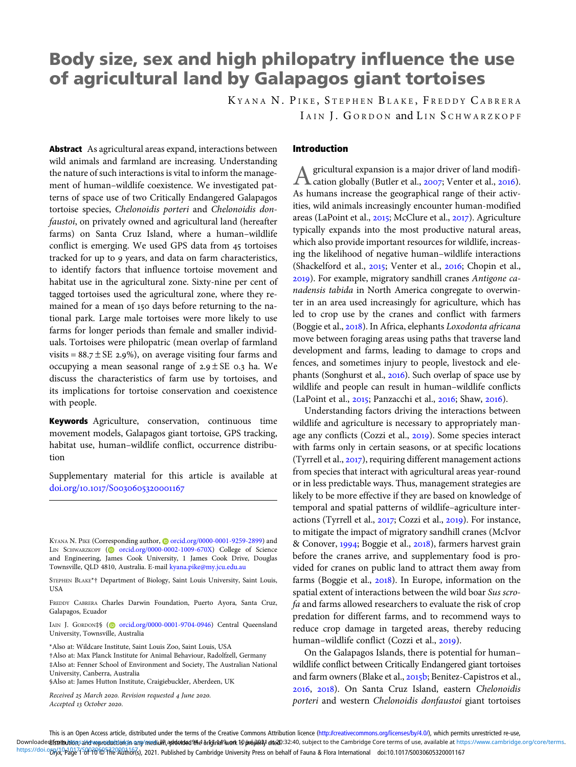# Body size, sex and high philopatry influence the use of agricultural land by Galapagos giant tortoises

KYANA N. PIKE, STEPHEN BLAKE, FREDDY CABRERA IAIN I. GORDON and LIN SCHWARZKOPF

Abstract As agricultural areas expand, interactions between wild animals and farmland are increasing. Understanding the nature of such interactions is vital to inform the management of human–wildlife coexistence. We investigated patterns of space use of two Critically Endangered Galapagos tortoise species, Chelonoidis porteri and Chelonoidis donfaustoi, on privately owned and agricultural land (hereafter farms) on Santa Cruz Island, where a human–wildlife conflict is emerging. We used GPS data from 45 tortoises tracked for up to years, and data on farm characteristics, to identify factors that influence tortoise movement and habitat use in the agricultural zone. Sixty-nine per cent of tagged tortoises used the agricultural zone, where they remained for a mean of 150 days before returning to the national park. Large male tortoises were more likely to use farms for longer periods than female and smaller individuals. Tortoises were philopatric (mean overlap of farmland visits =  $88.7 \pm \text{SE}$  2.9%), on average visiting four farms and occupying a mean seasonal range of  $2.9 \pm SE$  0.3 ha. We discuss the characteristics of farm use by tortoises, and its implications for tortoise conservation and coexistence with people.

Keywords Agriculture, conservation, continuous time movement models, Galapagos giant tortoise, GPS tracking, habitat use, human–wildlife conflict, occurrence distribution

Supplementary material for this article is available at doi.org/10.1017/S0030605320001167

IAIN J. GORDON‡§ (@ [orcid.org/0000-0001-9704-0946](https://orcid.org/0000-0001-9704-0946)) Central Queensland University, Townsville, Australia

†Also at: Max Planck Institute for Animal Behaviour, Radolfzell, Germany ‡Also at: Fenner School of Environment and Society, The Australian National University, Canberra, Australia §Also at: James Hutton Institute, Craigiebuckler, Aberdeen, UK

Received 25 March 2020. Revision requested 4 June 2020.

Accepted 13 October 2020.

# Introduction

A gricultural expansion is a major driver of land modifi-<br>cation globally (Butler et al., 2007; Venter et al., 2016). As humans increase the geographical range of their activities, wild animals increasingly encounter human-modified areas (LaPoint et al., 2015; McClure et al., 2017). Agriculture typically expands into the most productive natural areas, which also provide important resources for wildlife, increasing the likelihood of negative human–wildlife interactions (Shackelford et al., 2015; Venter et al., 2016; Chopin et al., ). For example, migratory sandhill cranes Antigone canadensis tabida in North America congregate to overwinter in an area used increasingly for agriculture, which has led to crop use by the cranes and conflict with farmers (Boggie et al., 2018). In Africa, elephants Loxodonta africana move between foraging areas using paths that traverse land development and farms, leading to damage to crops and fences, and sometimes injury to people, livestock and elephants (Songhurst et al., 2016). Such overlap of space use by wildlife and people can result in human–wildlife conflicts (LaPoint et al.,  $2015$ ; Panzacchi et al.,  $2016$ ; Shaw,  $2016$ ).

Understanding factors driving the interactions between wildlife and agriculture is necessary to appropriately manage any conflicts (Cozzi et al., 2019). Some species interact with farms only in certain seasons, or at specific locations (Tyrrell et al.,  $2017$ ), requiring different management actions from species that interact with agricultural areas year-round or in less predictable ways. Thus, management strategies are likely to be more effective if they are based on knowledge of temporal and spatial patterns of wildlife–agriculture interactions (Tyrrell et al., 2017; Cozzi et al., 2019). For instance, to mitigate the impact of migratory sandhill cranes (McIvor & Conover, 1994; Boggie et al., 2018), farmers harvest grain before the cranes arrive, and supplementary food is provided for cranes on public land to attract them away from farms (Boggie et al.,  $2018$ ). In Europe, information on the spatial extent of interactions between the wild boar Sus scrofa and farms allowed researchers to evaluate the risk of crop predation for different farms, and to recommend ways to reduce crop damage in targeted areas, thereby reducing human-wildlife conflict (Cozzi et al., 2019).

On the Galapagos Islands, there is potential for human– wildlife conflict between Critically Endangered giant tortoises and farm owners (Blake et al., 2015b; Benitez-Capistros et al., , ). On Santa Cruz Island, eastern Chelonoidis porteri and western Chelonoidis donfaustoi giant tortoises

KYANA N. PIKE (Corresponding author, @[orcid.org/0000-0001-9259-2899](https://orcid.org/0000-0001-9259-2899)) and LIN SCHWARZKOPF (@ [orcid.org/0000-0002-1009-670X](https://orcid.org/0000-0002-1009-670X)) College of Science and Engineering, James Cook University, 1 James Cook Drive, Douglas Townsville, QLD 4810, Australia. E-mail [kyana.pike@my.jcu.edu.au](mailto:kyana.pike@my.jcu.edu.au)

STEPHEN BLAKE\*† Department of Biology, Saint Louis University, Saint Louis, USA

FREDDY CABRERA Charles Darwin Foundation, Puerto Ayora, Santa Cruz, Galapagos, Ecuador

<sup>\*</sup>Also at: Wildcare Institute, Saint Louis Zoo, Saint Louis, USA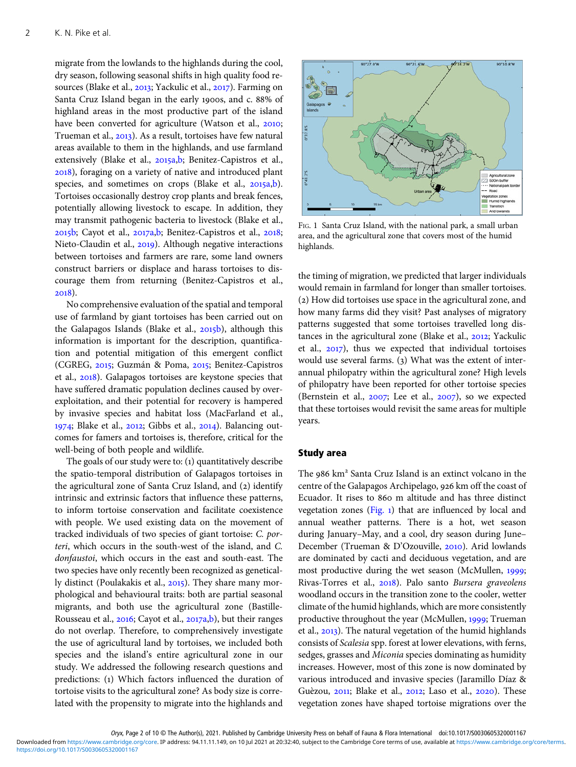<span id="page-1-0"></span>migrate from the lowlands to the highlands during the cool, dry season, following seasonal shifts in high quality food resources (Blake et al., 2013; Yackulic et al., 2017). Farming on Santa Cruz Island began in the early 1900s, and c. 88% of highland areas in the most productive part of the island have been converted for agriculture (Watson et al., 2010; Trueman et al., 2013). As a result, tortoises have few natural areas available to them in the highlands, and use farmland extensively (Blake et al., 2015a,[b;](#page-7-0) Benitez-Capistros et al., ), foraging on a variety of native and introduced plant species, and sometimes on crops (Blake et al., 2015a,[b\)](#page-7-0). Tortoises occasionally destroy crop plants and break fences, potentially allowing livestock to escape. In addition, they may transmit pathogenic bacteria to livestock (Blake et al.,  $2015$ b; Cayot et al.,  $2017a$ , b; Benitez-Capistros et al.,  $2018$ ; Nieto-Claudin et al., 2019). Although negative interactions between tortoises and farmers are rare, some land owners construct barriers or displace and harass tortoises to discourage them from returning (Benitez-Capistros et al., 2018).

No comprehensive evaluation of the spatial and temporal use of farmland by giant tortoises has been carried out on the Galapagos Islands (Blake et al.,  $2015b$ ), although this information is important for the description, quantification and potential mitigation of this emergent conflict (CGREG, 2015; Guzmán & Poma, 2015; Benitez-Capistros et al., 2018). Galapagos tortoises are keystone species that have suffered dramatic population declines caused by overexploitation, and their potential for recovery is hampered by invasive species and habitat loss (MacFarland et al.,  $1974$ ; Blake et al., 2012; Gibbs et al., 2014). Balancing outcomes for famers and tortoises is, therefore, critical for the well-being of both people and wildlife.

The goals of our study were to: (1) quantitatively describe the spatio-temporal distribution of Galapagos tortoises in the agricultural zone of Santa Cruz Island, and (2) identify intrinsic and extrinsic factors that influence these patterns, to inform tortoise conservation and facilitate coexistence with people. We used existing data on the movement of tracked individuals of two species of giant tortoise: C. porteri, which occurs in the south-west of the island, and C. donfaustoi, which occurs in the east and south-east. The two species have only recently been recognized as genetically distinct (Poulakakis et al., 2015). They share many morphological and behavioural traits: both are partial seasonal migrants, and both use the agricultural zone (Bastille-Rousseau et al., 2016; Cayot et al., 2017a[,b](#page-8-0)), but their ranges do not overlap. Therefore, to comprehensively investigate the use of agricultural land by tortoises, we included both species and the island's entire agricultural zone in our study. We addressed the following research questions and predictions: (1) Which factors influenced the duration of tortoise visits to the agricultural zone? As body size is correlated with the propensity to migrate into the highlands and



FIG. 1 Santa Cruz Island, with the national park, a small urban area, and the agricultural zone that covers most of the humid highlands.

the timing of migration, we predicted that larger individuals would remain in farmland for longer than smaller tortoises. (2) How did tortoises use space in the agricultural zone, and how many farms did they visit? Past analyses of migratory patterns suggested that some tortoises travelled long distances in the agricultural zone (Blake et al.,  $2012$ ; Yackulic et al.,  $2017$ ), thus we expected that individual tortoises would use several farms.  $(3)$  What was the extent of interannual philopatry within the agricultural zone? High levels of philopatry have been reported for other tortoise species (Bernstein et al.,  $2007$ ; Lee et al.,  $2007$ ), so we expected that these tortoises would revisit the same areas for multiple years.

# Study area

The 986 km<sup>2</sup> Santa Cruz Island is an extinct volcano in the centre of the Galapagos Archipelago, 926 km off the coast of Ecuador. It rises to 860 m altitude and has three distinct vegetation zones  $(Fig. 1)$  that are influenced by local and annual weather patterns. There is a hot, wet season during January–May, and a cool, dry season during June– December (Trueman & D'Ozouville, 2010). Arid lowlands are dominated by cacti and deciduous vegetation, and are most productive during the wet season (McMullen, 1999; Rivas-Torres et al., 2018). Palo santo Bursera graveolens woodland occurs in the transition zone to the cooler, wetter climate of the humid highlands, which are more consistently productive throughout the year (McMullen, 1999; Trueman et al., 2013). The natural vegetation of the humid highlands consists of Scalesia spp. forest at lower elevations, with ferns, sedges, grasses and Miconia species dominating as humidity increases. However, most of this zone is now dominated by various introduced and invasive species (Jaramillo Díaz & Guèzou, 2011; Blake et al., 2012; Laso et al., 2020). These vegetation zones have shaped tortoise migrations over the

Oryx, Page 2 of 10 © The Author(s), 2021. Published by Cambridge University Press on behalf of Fauna & Flora International doi:10.1017/S0030605320001167 <https://doi.org/10.1017/S0030605320001167> Downloaded from [https://www.cambridge.org/core.](https://www.cambridge.org/core) IP address: 94.11.11.149, on 10 Jul 2021 at 20:32:40, subject to the Cambridge Core terms of use, available at [https://www.cambridge.org/core/terms.](https://www.cambridge.org/core/terms)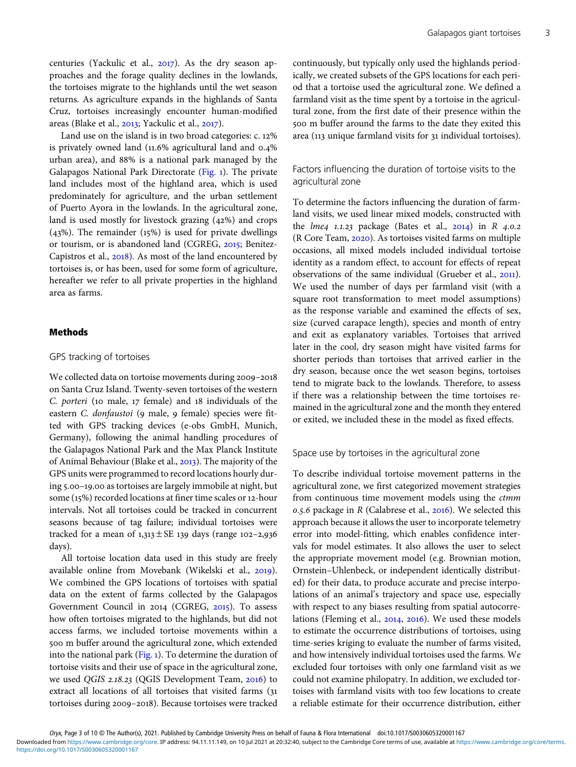centuries (Yackulic et al.,  $2017$ ). As the dry season approaches and the forage quality declines in the lowlands, the tortoises migrate to the highlands until the wet season returns. As agriculture expands in the highlands of Santa Cruz, tortoises increasingly encounter human-modified areas (Blake et al.,  $2013$ ; Yackulic et al.,  $2017$ ).

Land use on the island is in two broad categories:  $c$ . 12% is privately owned land  $(11.6\%$  agricultural land and  $0.4\%$ urban area), and 88% is a national park managed by the Galapagos National Park Directorate ([Fig.](#page-1-0) ). The private land includes most of the highland area, which is used predominately for agriculture, and the urban settlement of Puerto Ayora in the lowlands. In the agricultural zone, land is used mostly for livestock grazing  $(42%)$  and crops  $(43%)$ . The remainder  $(15%)$  is used for private dwellings or tourism, or is abandoned land (CGREG, 2015; Benitez-Capistros et al., 2018). As most of the land encountered by tortoises is, or has been, used for some form of agriculture, hereafter we refer to all private properties in the highland area as farms.

#### Methods

### GPS tracking of tortoises

We collected data on tortoise movements during 2009-2018 on Santa Cruz Island. Twenty-seven tortoises of the western  $C.$  porteri (10 male, 17 female) and 18 individuals of the eastern C. donfaustoi (9 male, 9 female) species were fitted with GPS tracking devices (e-obs GmbH, Munich, Germany), following the animal handling procedures of the Galapagos National Park and the Max Planck Institute of Animal Behaviour (Blake et al., 2013). The majority of the GPS units were programmed to record locations hourly during 5.00–19.00 as tortoises are largely immobile at night, but some (15%) recorded locations at finer time scales or 12-hour intervals. Not all tortoises could be tracked in concurrent seasons because of tag failure; individual tortoises were tracked for a mean of  $1,313 \pm SE$  139 days (range 102-2,936 days).

All tortoise location data used in this study are freely available online from Movebank (Wikelski et al., 2019). We combined the GPS locations of tortoises with spatial data on the extent of farms collected by the Galapagos Government Council in 2014 (CGREG, 2015). To assess how often tortoises migrated to the highlands, but did not access farms, we included tortoise movements within a 500 m buffer around the agricultural zone, which extended into the national park [\(Fig.](#page-1-0) ). To determine the duration of tortoise visits and their use of space in the agricultural zone, we used QGIS 2.18.23 (QGIS Development Team, 2016) to extract all locations of all tortoises that visited farms ( tortoises during 2009-2018). Because tortoises were tracked continuously, but typically only used the highlands periodically, we created subsets of the GPS locations for each period that a tortoise used the agricultural zone. We defined a farmland visit as the time spent by a tortoise in the agricultural zone, from the first date of their presence within the 500 m buffer around the farms to the date they exited this area (113 unique farmland visits for 31 individual tortoises).

# Factors influencing the duration of tortoise visits to the agricultural zone

To determine the factors influencing the duration of farmland visits, we used linear mixed models, constructed with the *lme4* 1.1.23 package (Bates et al.,  $2014$ ) in R 4.0.2 (R Core Team, 2020). As tortoises visited farms on multiple occasions, all mixed models included individual tortoise identity as a random effect, to account for effects of repeat observations of the same individual (Grueber et al., 2011). We used the number of days per farmland visit (with a square root transformation to meet model assumptions) as the response variable and examined the effects of sex, size (curved carapace length), species and month of entry and exit as explanatory variables. Tortoises that arrived later in the cool, dry season might have visited farms for shorter periods than tortoises that arrived earlier in the dry season, because once the wet season begins, tortoises tend to migrate back to the lowlands. Therefore, to assess if there was a relationship between the time tortoises remained in the agricultural zone and the month they entered or exited, we included these in the model as fixed effects.

Space use by tortoises in the agricultural zone

To describe individual tortoise movement patterns in the agricultural zone, we first categorized movement strategies from continuous time movement models using the ctmm 0.5.6 package in R (Calabrese et al.,  $2016$ ). We selected this approach because it allows the user to incorporate telemetry error into model-fitting, which enables confidence intervals for model estimates. It also allows the user to select the appropriate movement model (e.g. Brownian motion, Ornstein–Uhlenbeck, or independent identically distributed) for their data, to produce accurate and precise interpolations of an animal's trajectory and space use, especially with respect to any biases resulting from spatial autocorrelations (Fleming et al., 2014, 2016). We used these models to estimate the occurrence distributions of tortoises, using time-series kriging to evaluate the number of farms visited, and how intensively individual tortoises used the farms. We excluded four tortoises with only one farmland visit as we could not examine philopatry. In addition, we excluded tortoises with farmland visits with too few locations to create a reliable estimate for their occurrence distribution, either

Oryx, Page 3 of 10 © The Author(s), 2021. Published by Cambridge University Press on behalf of Fauna & Flora International doi:10.1017/S0030605320001167 <https://doi.org/10.1017/S0030605320001167> Downloaded from [https://www.cambridge.org/core.](https://www.cambridge.org/core) IP address: 94.11.11.149, on 10 Jul 2021 at 20:32:40, subject to the Cambridge Core terms of use, available at [https://www.cambridge.org/core/terms.](https://www.cambridge.org/core/terms)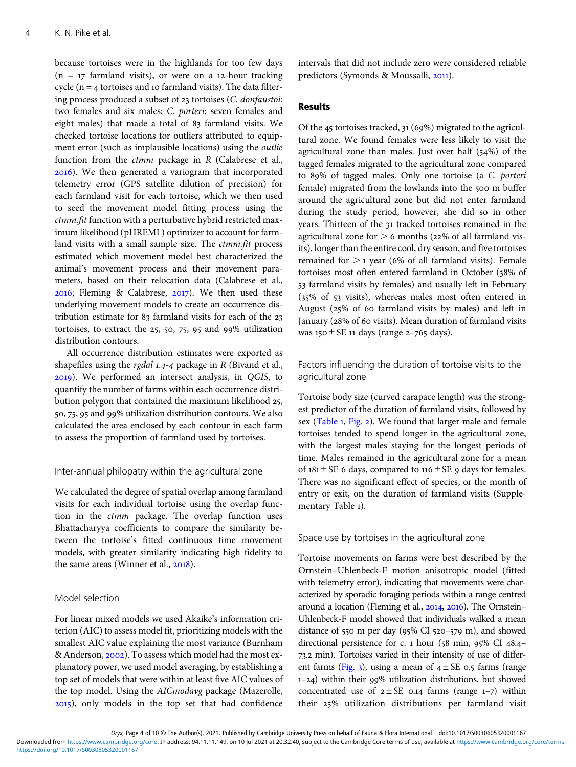because tortoises were in the highlands for too few days  $(n = 17$  farmland visits), or were on a 12-hour tracking cycle ( $n = 4$  tortoises and 10 farmland visits). The data filtering process produced a subset of 23 tortoises (C. donfaustoi: two females and six males; C. porteri: seven females and eight males) that made a total of 83 farmland visits. We checked tortoise locations for outliers attributed to equipment error (such as implausible locations) using the outlie function from the  $ctmm$  package in  $R$  (Calabrese et al., ). We then generated a variogram that incorporated telemetry error (GPS satellite dilution of precision) for each farmland visit for each tortoise, which we then used to seed the movement model fitting process using the ctmm.fit function with a perturbative hybrid restricted maximum likelihood (pHREML) optimizer to account for farmland visits with a small sample size. The ctmm.fit process estimated which movement model best characterized the animal's movement process and their movement parameters, based on their relocation data (Calabrese et al.,  $2016$ ; Fleming & Calabrese,  $2017$ ). We then used these underlying movement models to create an occurrence distribution estimate for 83 farmland visits for each of the 23 tortoises, to extract the  $25$ ,  $50$ ,  $75$ ,  $95$  and  $99\%$  utilization distribution contours.

All occurrence distribution estimates were exported as shapefiles using the *rgdal*  $1.4 - 4$  package in R (Bivand et al., ). We performed an intersect analysis, in QGIS, to quantify the number of farms within each occurrence distribution polygon that contained the maximum likelihood 25, 50, 75, 95 and 99% utilization distribution contours. We also calculated the area enclosed by each contour in each farm to assess the proportion of farmland used by tortoises.

#### Inter-annual philopatry within the agricultural zone

We calculated the degree of spatial overlap among farmland visits for each individual tortoise using the overlap function in the ctmm package. The overlap function uses Bhattacharyya coefficients to compare the similarity between the tortoise's fitted continuous time movement models, with greater similarity indicating high fidelity to the same areas (Winner et al., 2018).

#### Model selection

For linear mixed models we used Akaike's information criterion (AIC) to assess model fit, prioritizing models with the smallest AIC value explaining the most variance (Burnham & Anderson, 2002). To assess which model had the most explanatory power, we used model averaging, by establishing a top set of models that were within at least five AIC values of the top model. Using the AICmodavg package (Mazerolle, ), only models in the top set that had confidence intervals that did not include zero were considered reliable predictors (Symonds & Moussalli, 2011).

### Results

Of the  $45$  tortoises tracked,  $31$  (69%) migrated to the agricultural zone. We found females were less likely to visit the agricultural zone than males. Just over half  $(54%)$  of the tagged females migrated to the agricultural zone compared to 89% of tagged males. Only one tortoise (a C. porteri female) migrated from the lowlands into the 500 m buffer around the agricultural zone but did not enter farmland during the study period, however, she did so in other years. Thirteen of the 31 tracked tortoises remained in the agricultural zone for  $> 6$  months (22% of all farmland visits), longer than the entire cool, dry season, and five tortoises remained for  $>$  1 year (6% of all farmland visits). Female tortoises most often entered farmland in October (38% of farmland visits by females) and usually left in February  $(35\% \text{ of } 53 \text{ visits})$ , whereas males most often entered in August ( $25\%$  of 60 farmland visits by males) and left in January (28% of 60 visits). Mean duration of farmland visits was  $150 \pm SE$  11 days (range 2-765 days).

Factors influencing the duration of tortoise visits to the agricultural zone

Tortoise body size (curved carapace length) was the strongest predictor of the duration of farmland visits, followed by sex [\(Table](#page-4-0) 1, [Fig.](#page-4-0) 2). We found that larger male and female tortoises tended to spend longer in the agricultural zone, with the largest males staying for the longest periods of time. Males remained in the agricultural zone for a mean of  $181 \pm SE$  6 days, compared to  $116 \pm SE$  9 days for females. There was no significant effect of species, or the month of entry or exit, on the duration of farmland visits (Supplementary Table 1).

## Space use by tortoises in the agricultural zone

Tortoise movements on farms were best described by the Ornstein–Uhlenbeck-F motion anisotropic model (fitted with telemetry error), indicating that movements were characterized by sporadic foraging periods within a range centred around a location (Fleming et al., 2014, 2016). The Ornstein– Uhlenbeck-F model showed that individuals walked a mean distance of  $550$  m per day ( $95\%$  CI  $520-579$  m), and showed directional persistence for c.  $1$  hour ( $58$  min,  $95\%$  CI  $48.4-$ 73.2 min). Tortoises varied in their intensity of use of differ-ent farms [\(Fig.](#page-5-0) 3), using a mean of  $4 \pm SE$  0.5 farms (range  $1-24$ ) within their 99% utilization distributions, but showed concentrated use of  $2 \pm SE$  0.14 farms (range 1-7) within their 25% utilization distributions per farmland visit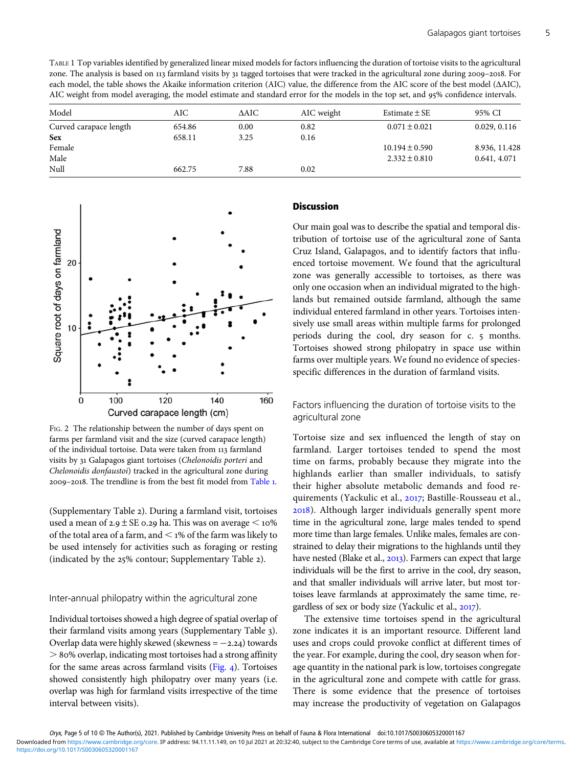<span id="page-4-0"></span>TABLE 1 Top variables identified by generalized linear mixed models for factors influencing the duration of tortoise visits to the agricultural zone. The analysis is based on 113 farmland visits by 31 tagged tortoises that were tracked in the agricultural zone during 2009-2018. For each model, the table shows the Akaike information criterion (AIC) value, the difference from the AIC score of the best model (ΔAIC), AIC weight from model averaging, the model estimate and standard error for the models in the top set, and 95% confidence intervals.

| Model                  | AIC    | ΔAIC | AIC weight | Estimate $\pm$ SE  | 95% CI        |
|------------------------|--------|------|------------|--------------------|---------------|
| Curved carapace length | 654.86 | 0.00 | 0.82       | $0.071 \pm 0.021$  | 0.029, 0.116  |
| <b>Sex</b>             | 658.11 | 3.25 | 0.16       |                    |               |
| Female                 |        |      |            | $10.194 \pm 0.590$ | 8.936, 11.428 |
| Male                   |        |      |            | $2.332 \pm 0.810$  | 0.641, 4.071  |
| Null                   | 662.75 | 7.88 | 0.02       |                    |               |



FIG. 2 The relationship between the number of days spent on farms per farmland visit and the size (curved carapace length) of the individual tortoise. Data were taken from 113 farmland visits by 31 Galapagos giant tortoises (Chelonoidis porteri and Chelonoidis donfaustoi) tracked in the agricultural zone during 2009-2018. The trendline is from the best fit model from Table 1.

(Supplementary Table 2). During a farmland visit, tortoises used a mean of  $2.9 \pm SE$  0.29 ha. This was on average  $\leq 10\%$ of the total area of a farm, and  $\leq$  1% of the farm was likely to be used intensely for activities such as foraging or resting (indicated by the  $25\%$  contour; Supplementary Table 2).

## Inter-annual philopatry within the agricultural zone

Individual tortoises showed a high degree of spatial overlap of their farmland visits among years (Supplementary Table ). Overlap data were highly skewed (skewness =  $-2.24$ ) towards  $>$  80% overlap, indicating most tortoises had a strong affinity for the same areas across farmland visits  $(Fig. 4)$  $(Fig. 4)$  $(Fig. 4)$ . Tortoises showed consistently high philopatry over many years (i.e. overlap was high for farmland visits irrespective of the time interval between visits).

## **Discussion**

Our main goal was to describe the spatial and temporal distribution of tortoise use of the agricultural zone of Santa Cruz Island, Galapagos, and to identify factors that influenced tortoise movement. We found that the agricultural zone was generally accessible to tortoises, as there was only one occasion when an individual migrated to the highlands but remained outside farmland, although the same individual entered farmland in other years. Tortoises intensively use small areas within multiple farms for prolonged periods during the cool, dry season for c. 5 months. Tortoises showed strong philopatry in space use within farms over multiple years. We found no evidence of speciesspecific differences in the duration of farmland visits.

Factors influencing the duration of tortoise visits to the agricultural zone

Tortoise size and sex influenced the length of stay on farmland. Larger tortoises tended to spend the most time on farms, probably because they migrate into the highlands earlier than smaller individuals, to satisfy their higher absolute metabolic demands and food requirements (Yackulic et al., 2017; Bastille-Rousseau et al., ). Although larger individuals generally spent more time in the agricultural zone, large males tended to spend more time than large females. Unlike males, females are constrained to delay their migrations to the highlands until they have nested (Blake et al., 2013). Farmers can expect that large individuals will be the first to arrive in the cool, dry season, and that smaller individuals will arrive later, but most tortoises leave farmlands at approximately the same time, regardless of sex or body size (Yackulic et al., 2017).

The extensive time tortoises spend in the agricultural zone indicates it is an important resource. Different land uses and crops could provoke conflict at different times of the year. For example, during the cool, dry season when forage quantity in the national park is low, tortoises congregate in the agricultural zone and compete with cattle for grass. There is some evidence that the presence of tortoises may increase the productivity of vegetation on Galapagos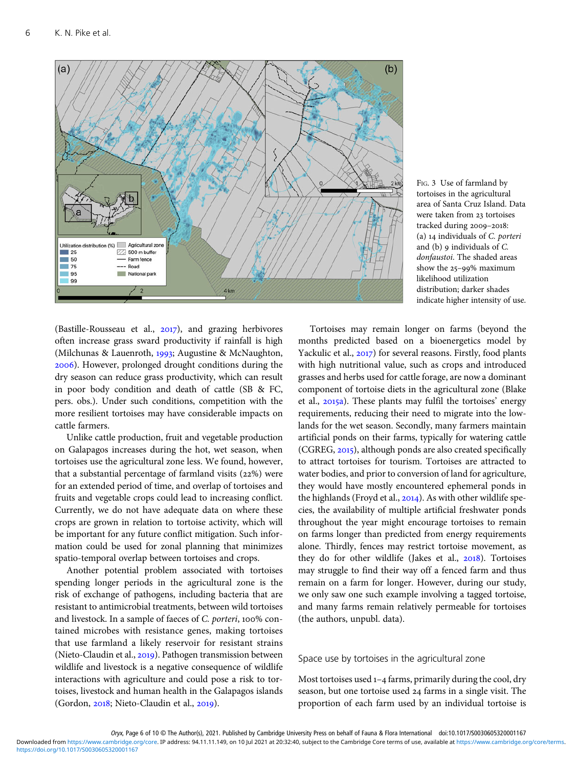<span id="page-5-0"></span>

FIG. 3 Use of farmland by tortoises in the agricultural area of Santa Cruz Island. Data were taken from 23 tortoises tracked during 2009-2018: (a) individuals of C. porteri and  $(b)$  9 individuals of  $C$ . donfaustoi. The shaded areas show the  $25-99\%$  maximum likelihood utilization distribution; darker shades indicate higher intensity of use.

(Bastille-Rousseau et al.,  $2017$ ), and grazing herbivores often increase grass sward productivity if rainfall is high (Milchunas & Lauenroth, 1993; Augustine & McNaughton, ). However, prolonged drought conditions during the dry season can reduce grass productivity, which can result in poor body condition and death of cattle (SB & FC, pers. obs.). Under such conditions, competition with the more resilient tortoises may have considerable impacts on cattle farmers.

Unlike cattle production, fruit and vegetable production on Galapagos increases during the hot, wet season, when tortoises use the agricultural zone less. We found, however, that a substantial percentage of farmland visits  $(22%)$  were for an extended period of time, and overlap of tortoises and fruits and vegetable crops could lead to increasing conflict. Currently, we do not have adequate data on where these crops are grown in relation to tortoise activity, which will be important for any future conflict mitigation. Such information could be used for zonal planning that minimizes spatio-temporal overlap between tortoises and crops.

Another potential problem associated with tortoises spending longer periods in the agricultural zone is the risk of exchange of pathogens, including bacteria that are resistant to antimicrobial treatments, between wild tortoises and livestock. In a sample of faeces of C. porteri, 100% contained microbes with resistance genes, making tortoises that use farmland a likely reservoir for resistant strains (Nieto-Claudin et al., 2019). Pathogen transmission between wildlife and livestock is a negative consequence of wildlife interactions with agriculture and could pose a risk to tortoises, livestock and human health in the Galapagos islands  $(Gordon, 2018; Nieto-Claudin et al., 2019).$ 

Tortoises may remain longer on farms (beyond the months predicted based on a bioenergetics model by Yackulic et al., 2017) for several reasons. Firstly, food plants with high nutritional value, such as crops and introduced grasses and herbs used for cattle forage, are now a dominant component of tortoise diets in the agricultural zone (Blake et al., 2015a). These plants may fulfil the tortoises' energy requirements, reducing their need to migrate into the lowlands for the wet season. Secondly, many farmers maintain artificial ponds on their farms, typically for watering cattle  $(CGREG, 2015)$ , although ponds are also created specifically to attract tortoises for tourism. Tortoises are attracted to water bodies, and prior to conversion of land for agriculture, they would have mostly encountered ephemeral ponds in the highlands (Froyd et al.,  $2014$ ). As with other wildlife species, the availability of multiple artificial freshwater ponds throughout the year might encourage tortoises to remain on farms longer than predicted from energy requirements alone. Thirdly, fences may restrict tortoise movement, as they do for other wildlife (Jakes et al., 2018). Tortoises may struggle to find their way off a fenced farm and thus remain on a farm for longer. However, during our study, we only saw one such example involving a tagged tortoise, and many farms remain relatively permeable for tortoises (the authors, unpubl. data).

#### Space use by tortoises in the agricultural zone

Most tortoises used  $1-4$  farms, primarily during the cool, dry season, but one tortoise used 24 farms in a single visit. The proportion of each farm used by an individual tortoise is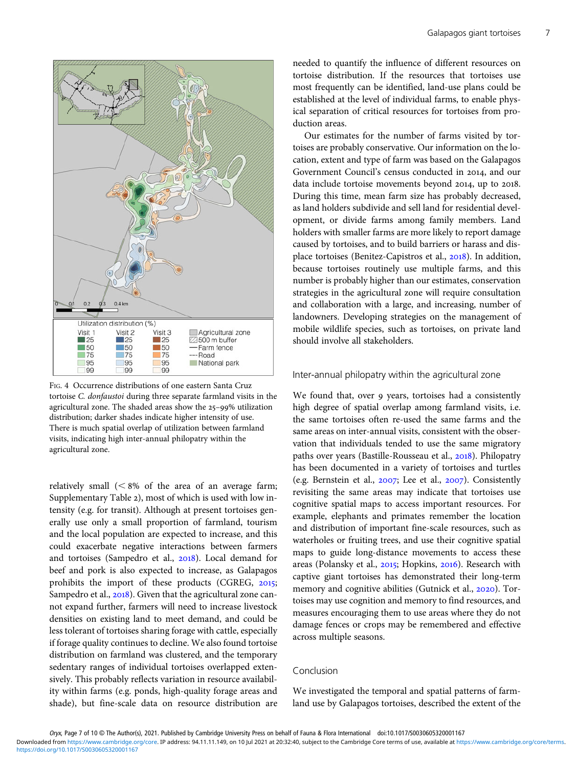<span id="page-6-0"></span>



FIG. 4 Occurrence distributions of one eastern Santa Cruz tortoise C. donfaustoi during three separate farmland visits in the agricultural zone. The shaded areas show the  $25-99\%$  utilization distribution; darker shades indicate higher intensity of use. There is much spatial overlap of utilization between farmland visits, indicating high inter-annual philopatry within the agricultural zone.

relatively small  $(< 8\%$  of the area of an average farm; Supplementary Table 2), most of which is used with low intensity (e.g. for transit). Although at present tortoises generally use only a small proportion of farmland, tourism and the local population are expected to increase, and this could exacerbate negative interactions between farmers and tortoises (Sampedro et al., 2018). Local demand for beef and pork is also expected to increase, as Galapagos prohibits the import of these products (CGREG, 2015; Sampedro et al., 2018). Given that the agricultural zone cannot expand further, farmers will need to increase livestock densities on existing land to meet demand, and could be less tolerant of tortoises sharing forage with cattle, especially if forage quality continues to decline. We also found tortoise distribution on farmland was clustered, and the temporary sedentary ranges of individual tortoises overlapped extensively. This probably reflects variation in resource availability within farms (e.g. ponds, high-quality forage areas and shade), but fine-scale data on resource distribution are needed to quantify the influence of different resources on tortoise distribution. If the resources that tortoises use most frequently can be identified, land-use plans could be established at the level of individual farms, to enable physical separation of critical resources for tortoises from production areas.

Our estimates for the number of farms visited by tortoises are probably conservative. Our information on the location, extent and type of farm was based on the Galapagos Government Council's census conducted in 2014, and our data include tortoise movements beyond 2014, up to 2018. During this time, mean farm size has probably decreased, as land holders subdivide and sell land for residential development, or divide farms among family members. Land holders with smaller farms are more likely to report damage caused by tortoises, and to build barriers or harass and displace tortoises (Benitez-Capistros et al., 2018). In addition, because tortoises routinely use multiple farms, and this number is probably higher than our estimates, conservation strategies in the agricultural zone will require consultation and collaboration with a large, and increasing, number of landowners. Developing strategies on the management of mobile wildlife species, such as tortoises, on private land should involve all stakeholders.

## Inter-annual philopatry within the agricultural zone

We found that, over 9 years, tortoises had a consistently high degree of spatial overlap among farmland visits, i.e. the same tortoises often re-used the same farms and the same areas on inter-annual visits, consistent with the observation that individuals tended to use the same migratory paths over years (Bastille-Rousseau et al., 2018). Philopatry has been documented in a variety of tortoises and turtles (e.g. Bernstein et al.,  $2007$ ; Lee et al.,  $2007$ ). Consistently revisiting the same areas may indicate that tortoises use cognitive spatial maps to access important resources. For example, elephants and primates remember the location and distribution of important fine-scale resources, such as waterholes or fruiting trees, and use their cognitive spatial maps to guide long-distance movements to access these areas (Polansky et al., 2015; Hopkins, 2016). Research with captive giant tortoises has demonstrated their long-term memory and cognitive abilities (Gutnick et al., 2020). Tortoises may use cognition and memory to find resources, and measures encouraging them to use areas where they do not damage fences or crops may be remembered and effective across multiple seasons.

## Conclusion

We investigated the temporal and spatial patterns of farmland use by Galapagos tortoises, described the extent of the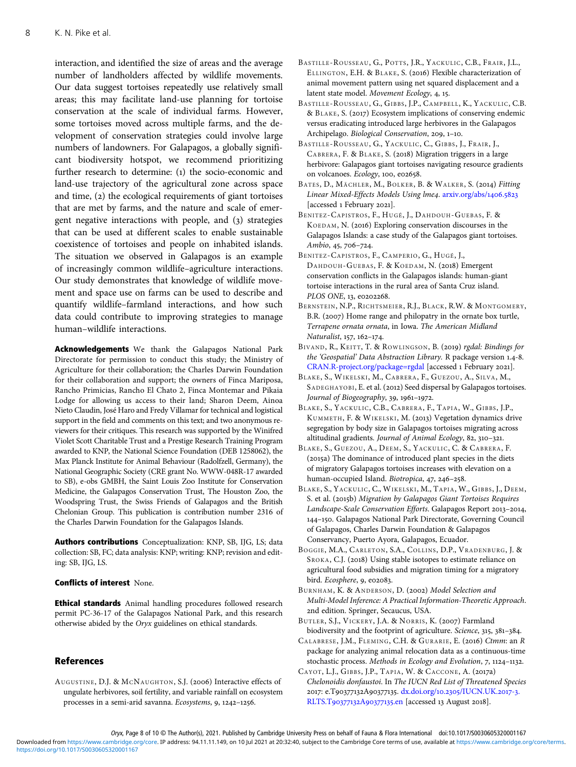interaction, and identified the size of areas and the average number of landholders affected by wildlife movements. Our data suggest tortoises repeatedly use relatively small areas; this may facilitate land-use planning for tortoise conservation at the scale of individual farms. However, some tortoises moved across multiple farms, and the development of conservation strategies could involve large numbers of landowners. For Galapagos, a globally significant biodiversity hotspot, we recommend prioritizing further research to determine: (1) the socio-economic and land-use trajectory of the agricultural zone across space and time,  $(2)$  the ecological requirements of giant tortoises that are met by farms, and the nature and scale of emergent negative interactions with people, and (3) strategies that can be used at different scales to enable sustainable coexistence of tortoises and people on inhabited islands. The situation we observed in Galapagos is an example of increasingly common wildlife–agriculture interactions. Our study demonstrates that knowledge of wildlife movement and space use on farms can be used to describe and quantify wildlife–farmland interactions, and how such data could contribute to improving strategies to manage human–wildlife interactions.

Acknowledgements We thank the Galapagos National Park Directorate for permission to conduct this study; the Ministry of Agriculture for their collaboration; the Charles Darwin Foundation for their collaboration and support; the owners of Finca Mariposa, Rancho Primicias, Rancho El Chato 2, Finca Montemar and Pikaia Lodge for allowing us access to their land; Sharon Deem, Ainoa Nieto Claudin, José Haro and Fredy Villamar for technical and logistical support in the field and comments on this text; and two anonymous reviewers for their critiques. This research was supported by the Winifred Violet Scott Charitable Trust and a Prestige Research Training Program awarded to KNP, the National Science Foundation (DEB 1258062), the Max Planck Institute for Animal Behaviour (Radolfzell, Germany), the National Geographic Society (CRE grant No. WWW-048R-17 awarded to SB), e-obs GMBH, the Saint Louis Zoo Institute for Conservation Medicine, the Galapagos Conservation Trust, The Houston Zoo, the Woodspring Trust, the Swiss Friends of Galapagos and the British Chelonian Group. This publication is contribution number 2316 of the Charles Darwin Foundation for the Galapagos Islands.

Authors contributions Conceptualization: KNP, SB, IJG, LS; data collection: SB, FC; data analysis: KNP; writing: KNP; revision and editing: SB, IJG, LS.

#### Conflicts of interest None.

Ethical standards Animal handling procedures followed research permit PC-36-17 of the Galapagos National Park, and this research otherwise abided by the Oryx guidelines on ethical standards.

### References

AUGUSTINE, D.J. & MCNAUGHTON, S.J. (2006) Interactive effects of ungulate herbivores, soil fertility, and variable rainfall on ecosystem processes in a semi-arid savanna. Ecosystems, 9, 1242-1256.

- BASTILLE-ROUSSEAU, G., POTTS, J.R., YACKULIC, C.B., FRAIR, J.L., ELLINGTON, E.H. & BLAKE, S. (2016) Flexible characterization of animal movement pattern using net squared displacement and a latent state model. Movement Ecology, 4, 15.
- BASTILLE-ROUSSEAU, G., GIBBS, J.P., CAMPBELL, K., YACKULIC, C.B. & BLAKE, S. (2017) Ecosystem implications of conserving endemic versus eradicating introduced large herbivores in the Galapagos Archipelago. Biological Conservation, 209, 1-10.
- BASTILLE-ROUSSEAU, G., YACKULIC, C., GIBBS, J., FRAIR, J., CABRERA, F. & BLAKE, S. (2018) Migration triggers in a large herbivore: Galapagos giant tortoises navigating resource gradients on volcanoes. Ecology, 100, e02658.
- BATES, D., MÄCHLER, M., BOLKER, B. & WALKER, S. (2014) Fitting Linear Mixed-Effects Models Using lme4. [arxiv.org/abs/](http://arxiv.org/abs/1406.5823)1406.5823 [accessed 1 February 2021].
- BENITEZ-CAPISTROS, F., HUGÉ, J., DAHDOUH-GUEBAS, F. & KOEDAM, N. (2016) Exploring conservation discourses in the Galapagos Islands: a case study of the Galapagos giant tortoises. Ambio, 45, 706-724.
- BENITEZ-CAPISTROS, F., CAMPERIO, G., HUGÉ, J., DAHDOUH-GUEBAS, F. & KOEDAM, N. (2018) Emergent conservation conflicts in the Galapagos islands: human-giant tortoise interactions in the rural area of Santa Cruz island. PLOS ONE, 13, e0202268.
- BERNSTEIN, N.P., RICHTSMEIER, R.J., BLACK, R.W. & MONTGOMERY, B.R. (2007) Home range and philopatry in the ornate box turtle, Terrapene ornata ornata, in Iowa. The American Midland Naturalist, 157, 162-174.
- BIVAND, R., KEITT, T. & ROWLINGSON, B. (2019) rgdal: Bindings for the 'Geospatial' Data Abstraction Library. R package version 1.4-8. [CRAN.R-project.org/package=rgdal](https://CRAN.R-project.org/package=rgdal) [accessed 1 February 2021].
- BLAKE, S., WIKELSKI, M., CABRERA, F., GUEZOU, A., SILVA, M., SADEGHAYOBI, E. et al. (2012) Seed dispersal by Galapagos tortoises. Journal of Biogeography, 39, 1961-1972.
- BLAKE, S., YACKULIC, C.B., CABRERA, F., TAPIA, W., GIBBS, J.P., KUMMETH, F. & WIKELSKI, M. (2013) Vegetation dynamics drive segregation by body size in Galapagos tortoises migrating across altitudinal gradients. Journal of Animal Ecology, 82, 310-321.
- BLAKE, S., GUEZOU, A., DEEM, S., YACKULIC, C. & CABRERA, F. (2015a) The dominance of introduced plant species in the diets of migratory Galapagos tortoises increases with elevation on a human-occupied Island. Biotropica, 47, 246-258.
- BLAKE, S., YACKULIC, C., WIKELSKI, M., TAPIA, W., GIBBS, J., DEEM, S. et al. (2015b) Migration by Galapagos Giant Tortoises Requires Landscape-Scale Conservation Efforts. Galapagos Report 2013-2014, 144-150. Galapagos National Park Directorate, Governing Council of Galapagos, Charles Darwin Foundation & Galapagos Conservancy, Puerto Ayora, Galapagos, Ecuador.
- BOGGIE, M.A., CARLETON, S.A., COLLINS , D.P., VRADENBURG, J. & SROKA, C.J. (2018) Using stable isotopes to estimate reliance on agricultural food subsidies and migration timing for a migratory bird. Ecosphere, 9, e02083.
- BURNHAM, K. & ANDERSON, D. (2002) Model Selection and Multi-Model Inference: A Practical Information-Theoretic Approach. nd edition. Springer, Secaucus, USA.
- BUTLER, S.J., VICKERY, J.A. & NORRIS, K. (2007) Farmland biodiversity and the footprint of agriculture. Science, 315, 381-384.
- CALABRESE, J.M., FLEMING, C.H. & GURARIE, E. (2016) Ctmm: an R package for analyzing animal relocation data as a continuous-time stochastic process. Methods in Ecology and Evolution, 7, 1124-1132.
- CAYOT, L.J., GIBBS, J.P., TAPIA, W. & CACCONE, A. (2017a) Chelonoidis donfaustoi. In The IUCN Red List of Threatened Species 2017: e.T90377132A90377135. dx.doi.org/10.2305[/IUCN.UK.](http://dx.doi.org/10.2305/IUCN.UK.2017-3.RLTS.T90377132A90377135.en)2017-3. RLTS.T90377132A90377135.en [accessed 13 August 2018].

<span id="page-7-0"></span>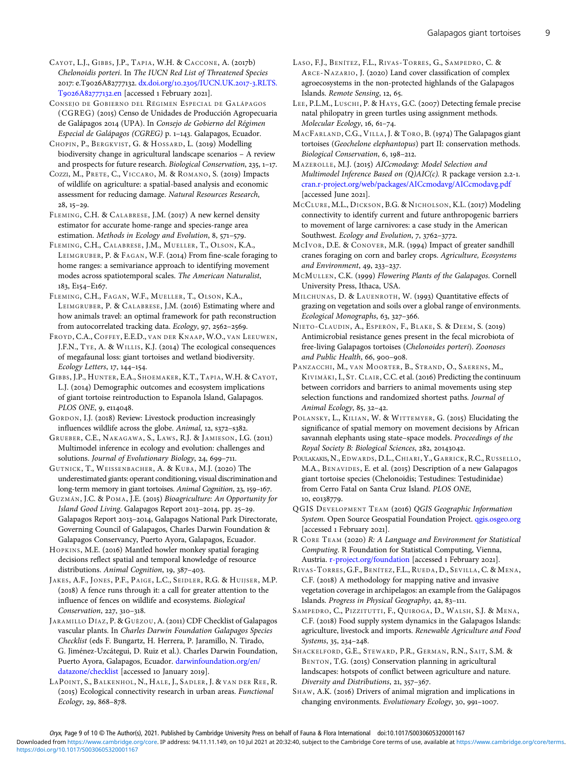<span id="page-8-0"></span>CAYOT, L.J., GIBBS, J.P., TAPIA, W.H. & CACCONE, A. (2017b) Chelonoidis porteri. In The IUCN Red List of Threatened Species 2017: e.T9026A82777132. dx.doi.org/10.2305[/IUCN.UK.](https://dx.doi.org/10.2305/IUCN.UK.2017-3.RLTS.T9026A82777132.en)2017-3.RLTS. T9026A82777132.en [accessed 1 February 2021].

CONSEJO DE GOBIERNO DEL RÉGIMEN ESPECIAL DE GALÁPAGOS (CGREG) (2015) Censo de Unidades de Producción Agropecuaria de Galápagos 2014 (UPA). In Consejo de Gobierno del Régimen Especial de Galápagos (CGREG) p. 1-143. Galapagos, Ecuador.

CHOPIN, P., BERGKVIST, G. & HOSSARD, L. (2019) Modelling biodiversity change in agricultural landscape scenarios – A review and prospects for future research. Biological Conservation, 235, 1-17.

COZZI, M., PRETE, C., VICCARO, M. & ROMANO, S. (2019) Impacts of wildlife on agriculture: a spatial-based analysis and economic assessment for reducing damage. Natural Resources Research,  $28, 15 - 29.$ 

FLEMING, C.H. & CALABRESE, J.M. (2017) A new kernel density estimator for accurate home-range and species-range area estimation. Methods in Ecology and Evolution,  $8, 571-579$ .

FLEMING, C.H., CALABRESE, J.M., MUELLER, T., OLSON, K.A., LEIMGRUBER, P. & FAGAN, W.F. (2014) From fine-scale foraging to home ranges: a semivariance approach to identifying movement modes across spatiotemporal scales. The American Naturalist, 183, E154-E167.

FLEMING, C.H., FAGAN, W.F., MUELLER, T., OLSON, K.A., LEIMGRUBER, P. & CALABRESE, J.M. (2016) Estimating where and how animals travel: an optimal framework for path reconstruction from autocorrelated tracking data. Ecology, 97, 2562-2569.

FROYD, C.A., COFFEY, E.E.D., VAN DER KNAAP, W.O., VAN LEEUWEN, J.F.N., TYE, A. & WILLIS, K.J. (2014) The ecological consequences of megafaunal loss: giant tortoises and wetland biodiversity. Ecology Letters, 17, 144-154.

GIBBS, J.P., HUNTER, E.A., SHOEMAKER, K.T., TAPIA, W.H. & CAYOT, L.J. (2014) Demographic outcomes and ecosystem implications of giant tortoise reintroduction to Espanola Island, Galapagos. PLOS ONE, 9, e114048.

GORDON, I.J. (2018) Review: Livestock production increasingly influences wildlife across the globe.  $Animal$ ,  $12$ ,  $s372-s382$ .

GRUEBER, C.E., NAKAGAWA, S., LAWS, R.J. & JAMIESON, I.G. (2011) Multimodel inference in ecology and evolution: challenges and solutions. Journal of Evolutionary Biology, 24, 699-711.

GUTNICK, T., WEISSENBACHER, A. & KUBA, M.J. (2020) The underestimated giants: operant conditioning, visual discrimination and long-term memory in giant tortoises. Animal Cognition, 23, 159-167.

GUZMÁN, J.C. & POMA, J.E. (2015) Bioagriculture: An Opportunity for Island Good Living. Galapagos Report 2013-2014, pp. 25-29. Galapagos Report 2013-2014, Galapagos National Park Directorate, Governing Council of Galapagos, Charles Darwin Foundation & Galapagos Conservancy, Puerto Ayora, Galapagos, Ecuador.

HOPKINS, M.E. (2016) Mantled howler monkey spatial foraging decisions reflect spatial and temporal knowledge of resource distributions. Animal Cognition, 19, 387-403.

JAKES, A.F., JONES, P.F., PAIGE, L.C., SEIDLER, R.G. & HUIJSER, M.P. (2018) A fence runs through it: a call for greater attention to the influence of fences on wildlife and ecosystems. Biological Conservation, 227, 310-318.

JARAMILLO DÍAZ, P. & GUÈZOU, A. (2011) CDF Checklist of Galapagos vascular plants. In Charles Darwin Foundation Galapagos Species Checklist (eds F. Bungartz, H. Herrera, P. Jaramillo, N. Tirado, G. Jiménez-Uzcátegui, D. Ruiz et al.). Charles Darwin Foundation, Puerto Ayora, Galapagos, Ecuador. [darwinfoundation.org/en/](https://www.darwinfoundation.org/en/datazone/checklist) [datazone/checklist](https://www.darwinfoundation.org/en/datazone/checklist) [accessed 10 January 2019].

LAPOINT, S., BALKENHOL, N., HALE, J., SADLER, J. & VAN DER REE, R. (2015) Ecological connectivity research in urban areas. Functional Ecology, 29, 868-878.

- LASO, F.J., BENÍTEZ, F.L., RIVAS-TORRES, G., SAMPEDRO, C. & ARCE-NAZARIO, J. (2020) Land cover classification of complex agroecosystems in the non-protected highlands of the Galapagos Islands. Remote Sensing, 12, 65.
- LEE, P.L.M., LUSCHI, P. & HAYS, G.C. (2007) Detecting female precise natal philopatry in green turtles using assignment methods. Molecular Ecology, 16, 61-74.

MACFARLAND, C.G., VILLA, J. & TORO, B. (1974) The Galapagos giant tortoises (Geochelone elephantopus) part II: conservation methods. Biological Conservation, 6, 198-212.

MAZEROLLE, M.J. (2015) AICcmodavg: Model Selection and Multimodel Inference Based on  $(Q)AIC(c)$ . R package version 2.2-1. [cran.r-project.org/web/packages/AICcmodavg/AICcmodavg.pdf](https://cran.r-project.org/web/packages/AICcmodavg/AICcmodavg.pdf) [accessed June 2021].

MCCLURE, M.L., DICKSON, B.G. & NICHOLSON, K.L. (2017) Modeling connectivity to identify current and future anthropogenic barriers to movement of large carnivores: a case study in the American Southwest. Ecology and Evolution, 7, 3762-3772.

MCIVOR, D.E. & CONOVER, M.R. (1994) Impact of greater sandhill cranes foraging on corn and barley crops. Agriculture, Ecosystems and Environment,  $49, 233 - 237$ .

MCMULLEN, C.K. (1999) Flowering Plants of the Galapagos. Cornell University Press, Ithaca, USA.

MILCHUNAS, D. & LAUENROTH, W. (1993) Quantitative effects of grazing on vegetation and soils over a global range of environments. Ecological Monographs, 63, 327-366.

NIETO-CLAUDIN, A., ESPERÓN, F., BLAKE, S. & DEEM, S. (2019) Antimicrobial resistance genes present in the fecal microbiota of free-living Galapagos tortoises (Chelonoides porteri). Zoonoses and Public Health, 66, 900-908.

PANZACCHI, M., VAN MOORTER, B., STRAND, O., SAERENS, M., KIVIMÄKI, I., ST. CLAIR, C.C. et al. (2016) Predicting the continuum between corridors and barriers to animal movements using step selection functions and randomized shortest paths. Journal of Animal Ecology, 85, 32-42.

POLANSKY, L., KILIAN, W. & WITTEMYER, G. (2015) Elucidating the significance of spatial memory on movement decisions by African savannah elephants using state–space models. Proceedings of the Royal Society B: Biological Sciences, 282, 20143042.

POULAKAKIS, N., EDWARDS, D.L., CHIARI, Y., GARRICK, R.C., RUSSELLO, M.A., BENAVIDES, E. et al. (2015) Description of a new Galapagos giant tortoise species (Chelonoidis; Testudines: Testudinidae) from Cerro Fatal on Santa Cruz Island. PLOS ONE, 10, e0138779.

QGIS DEVELOPMENT TEAM (2016) QGIS Geographic Information System. Open Source Geospatial Foundation Project. [qgis.osgeo.org](Http://qgis.osgeo.org) [accessed 1 February 2021].

R CORE TEAM (2020) R: A Language and Environment for Statistical Computing. R Foundation for Statistical Computing, Vienna, Austria. [r-project.org/foundation](http://www.r-project.org/foundation) [accessed 1 February 2021].

RIVAS -TORRES , G.F., BENÍTEZ, F.L., RUEDA, D., SEVILLA, C. & MENA, C.F. (2018) A methodology for mapping native and invasive vegetation coverage in archipelagos: an example from the Galápagos Islands. Progress in Physical Geography, 42, 83-111.

SAMPEDRO, C., PIZZITUTTI, F., QUIROGA, D., WALSH, S.J. & MENA, C.F. (2018) Food supply system dynamics in the Galapagos Islands: agriculture, livestock and imports. Renewable Agriculture and Food Systems, 35, 234-248.

SHACKELFORD, G.E., STEWARD, P.R., GERMAN, R.N., SAIT, S.M. & BENTON, T.G. (2015) Conservation planning in agricultural landscapes: hotspots of conflict between agriculture and nature. Diversity and Distributions, 21, 357-367.

SHAW, A.K. (2016) Drivers of animal migration and implications in changing environments. Evolutionary Ecology, 30, 991-1007.